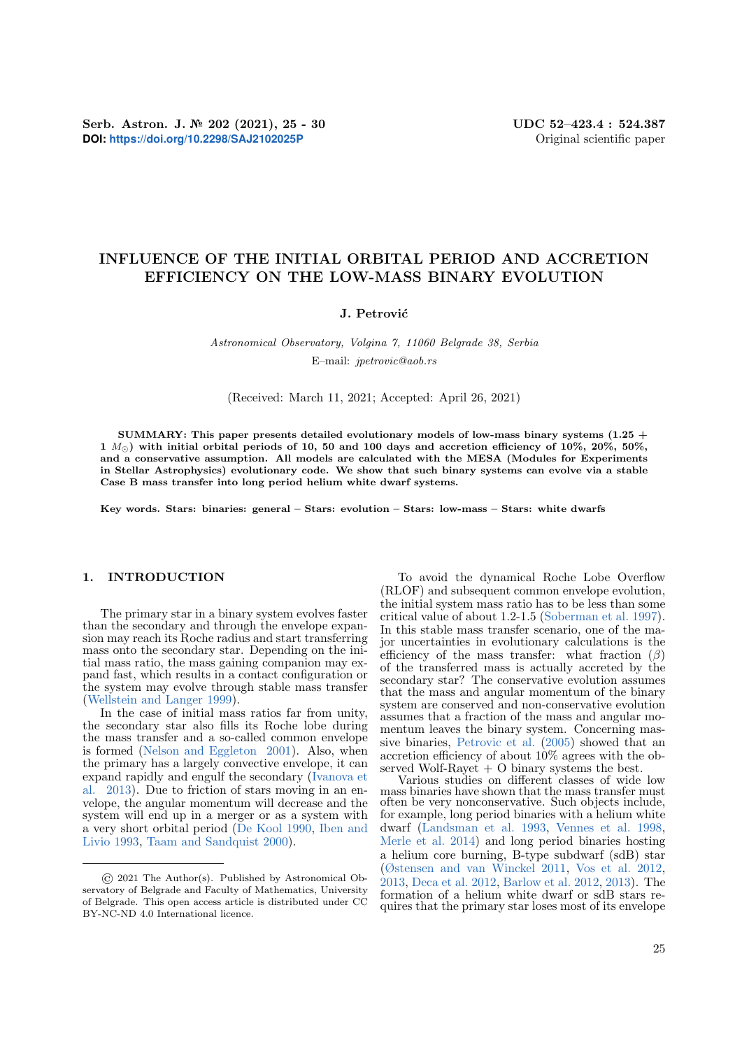# INFLUENCE OF THE INITIAL ORBITAL PERIOD AND ACCRETION EFFICIENCY ON THE LOW-MASS BINARY EVOLUTION

## J. Petrović

Astronomical Observatory, Volgina 7, 11060 Belgrade 38, Serbia E–mail: jpetrovic@aob.rs

#### (Received: March 11, 2021; Accepted: April 26, 2021)

SUMMARY: This paper presents detailed evolutionary models of low-mass binary systems  $(1.25 +$ 1  $M_{\odot}$ ) with initial orbital periods of 10, 50 and 100 days and accretion efficiency of 10%, 20%, 50%, and a conservative assumption. All models are calculated with the MESA (Modules for Experiments in Stellar Astrophysics) evolutionary code. We show that such binary systems can evolve via a stable Case B mass transfer into long period helium white dwarf systems.

Key words. Stars: binaries: general – Stars: evolution – Stars: low-mass – Stars: white dwarfs

# 1. INTRODUCTION

The primary star in a binary system evolves faster than the secondary and through the envelope expansion may reach its Roche radius and start transferring mass onto the secondary star. Depending on the initial mass ratio, the mass gaining companion may expand fast, which results in a contact configuration or the system may evolve through stable mass transfer [\(Wellstein and Langer](#page-5-0) [1999\)](#page-5-0).

In the case of initial mass ratios far from unity, the secondary star also fills its Roche lobe during the mass transfer and a so-called common envelope is formed [\(Nelson and Eggleton](#page-5-1) [2001\)](#page-5-1). Also, when the primary has a largely convective envelope, it can expand rapidly and engulf the secondary [\(Ivanova et](#page-5-2) [al.](#page-5-2) [2013\)](#page-5-2). Due to friction of stars moving in an envelope, the angular momentum will decrease and the system will end up in a merger or as a system with a very short orbital period [\(De Kool](#page-5-3) [1990,](#page-5-3) [Iben and](#page-5-4) [Livio](#page-5-4) [1993,](#page-5-4) [Taam and Sandquist](#page-5-5) [2000\)](#page-5-5).

To avoid the dynamical Roche Lobe Overflow (RLOF) and subsequent common envelope evolution, the initial system mass ratio has to be less than some critical value of about 1.2-1.5 [\(Soberman et al.](#page-5-6) [1997\)](#page-5-6). In this stable mass transfer scenario, one of the major uncertainties in evolutionary calculations is the efficiency of the mass transfer: what fraction  $(\beta)$ of the transferred mass is actually accreted by the secondary star? The conservative evolution assumes that the mass and angular momentum of the binary system are conserved and non-conservative evolution assumes that a fraction of the mass and angular momentum leaves the binary system. Concerning massive binaries, [Petrovic et al.](#page-5-7) [\(2005\)](#page-5-7) showed that an accretion efficiency of about 10% agrees with the observed Wolf-Rayet  $+$  O binary systems the best.

Various studies on different classes of wide low mass binaries have shown that the mass transfer must often be very nonconservative. Such objects include, for example, long period binaries with a helium white dwarf [\(Landsman et al.](#page-5-8) [1993,](#page-5-8) [Vennes et al.](#page-5-9) [1998,](#page-5-9) [Merle et al.](#page-5-10) [2014\)](#page-5-10) and long period binaries hosting a helium core burning, B-type subdwarf (sdB) star [\(Østensen and van Winckel](#page-5-11) [2011,](#page-5-11) [Vos et al.](#page-5-12) [2012,](#page-5-12) [2013,](#page-5-13) [Deca et al.](#page-5-14) [2012,](#page-5-14) [Barlow et al.](#page-4-0) [2012,](#page-4-0) [2013\)](#page-4-1). The formation of a helium white dwarf or sdB stars requires that the primary star loses most of its envelope

<sup>©</sup> 2021 The Author(s). Published by Astronomical Observatory of Belgrade and Faculty of Mathematics, University of Belgrade. This open access article is distributed under CC BY-NC-ND 4.0 International licence.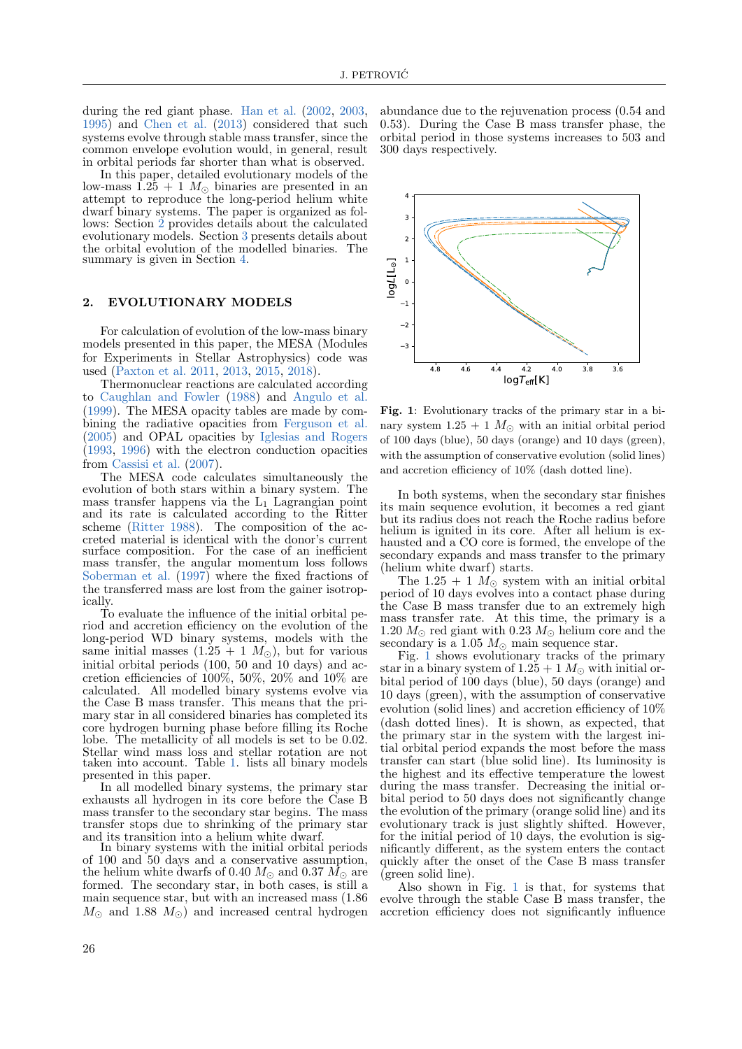during the red giant phase. [Han et al.](#page-5-15) [\(2002,](#page-5-15) [2003,](#page-5-16) [1995\)](#page-5-17) and [Chen et al.](#page-5-18) [\(2013\)](#page-5-18) considered that such systems evolve through stable mass transfer, since the common envelope evolution would, in general, result in orbital periods far shorter than what is observed.

In this paper, detailed evolutionary models of the low-mass  $1.25 + 1$   $M_{\odot}$  binaries are presented in an attempt to reproduce the long-period helium white dwarf binary systems. The paper is organized as follows: Section [2](#page-1-0) provides details about the calculated evolutionary models. Section [3](#page-2-0) presents details about the orbital evolution of the modelled binaries. The summary is given in Section [4.](#page-4-2)

## <span id="page-1-0"></span>2. EVOLUTIONARY MODELS

For calculation of evolution of the low-mass binary models presented in this paper, the MESA (Modules for Experiments in Stellar Astrophysics) code was used [\(Paxton et al.](#page-5-19) [2011,](#page-5-19) [2013,](#page-5-20) [2015,](#page-5-21) [2018\)](#page-5-22).

Thermonuclear reactions are calculated according to [Caughlan and Fowler](#page-5-23) [\(1988\)](#page-5-23) and [Angulo et al.](#page-4-3) [\(1999\)](#page-4-3). The MESA opacity tables are made by combining the radiative opacities from [Ferguson et al.](#page-5-24) [\(2005\)](#page-5-24) and OPAL opacities by [Iglesias and Rogers](#page-5-25) [\(1993,](#page-5-25) [1996\)](#page-5-26) with the electron conduction opacities from [Cassisi et al.](#page-5-27) [\(2007\)](#page-5-27).

The MESA code calculates simultaneously the evolution of both stars within a binary system. The mass transfer happens via the  $L_1$  Lagrangian point and its rate is calculated according to the Ritter scheme [\(Ritter](#page-5-28) [1988\)](#page-5-28). The composition of the accreted material is identical with the donor's current surface composition. For the case of an inefficient mass transfer, the angular momentum loss follows [Soberman et al.](#page-5-6) [\(1997\)](#page-5-6) where the fixed fractions of the transferred mass are lost from the gainer isotropically.

To evaluate the influence of the initial orbital period and accretion efficiency on the evolution of the long-period WD binary systems, models with the same initial masses  $(1.25 + 1 M_{\odot})$ , but for various initial orbital periods (100, 50 and 10 days) and accretion efficiencies of 100%, 50%, 20% and 10% are calculated. All modelled binary systems evolve via the Case B mass transfer. This means that the primary star in all considered binaries has completed its core hydrogen burning phase before filling its Roche lobe. The metallicity of all models is set to be 0.02. Stellar wind mass loss and stellar rotation are not taken into account. Table [1.](#page-2-1) lists all binary models presented in this paper.

In all modelled binary systems, the primary star exhausts all hydrogen in its core before the Case B mass transfer to the secondary star begins. The mass transfer stops due to shrinking of the primary star and its transition into a helium white dwarf.

In binary systems with the initial orbital periods of 100 and 50 days and a conservative assumption, the helium white dwarfs of 0.40  $M_{\odot}$  and 0.37  $\dot{M}_{\odot}$  are formed. The secondary star, in both cases, is still a main sequence star, but with an increased mass (1.86  $M_{\odot}$  and 1.88  $M_{\odot}$ ) and increased central hydrogen abundance due to the rejuvenation process (0.54 and 0.53). During the Case B mass transfer phase, the orbital period in those systems increases to 503 and 300 days respectively.



<span id="page-1-1"></span>Fig. 1: Evolutionary tracks of the primary star in a binary system  $1.25 + 1$   $M_{\odot}$  with an initial orbital period of 100 days (blue), 50 days (orange) and 10 days (green), with the assumption of conservative evolution (solid lines) and accretion efficiency of 10% (dash dotted line).

In both systems, when the secondary star finishes its main sequence evolution, it becomes a red giant but its radius does not reach the Roche radius before helium is ignited in its core. After all helium is exhausted and a CO core is formed, the envelope of the secondary expands and mass transfer to the primary (helium white dwarf) starts.

The 1.25 + 1  $M_{\odot}$  system with an initial orbital period of 10 days evolves into a contact phase during the Case B mass transfer due to an extremely high mass transfer rate. At this time, the primary is a 1.20  $M_{\odot}$  red giant with 0.23  $M_{\odot}$  helium core and the secondary is a 1.05  $M_{\odot}$  main sequence star.

Fig. [1](#page-1-1) shows evolutionary tracks of the primary star in a binary system of  $1.25 + 1$   $M_{\odot}$  with initial orbital period of 100 days (blue), 50 days (orange) and 10 days (green), with the assumption of conservative evolution (solid lines) and accretion efficiency of 10% (dash dotted lines). It is shown, as expected, that the primary star in the system with the largest initial orbital period expands the most before the mass transfer can start (blue solid line). Its luminosity is the highest and its effective temperature the lowest during the mass transfer. Decreasing the initial orbital period to 50 days does not significantly change the evolution of the primary (orange solid line) and its evolutionary track is just slightly shifted. However, for the initial period of 10 days, the evolution is significantly different, as the system enters the contact quickly after the onset of the Case B mass transfer (green solid line).

Also shown in Fig. [1](#page-1-1) is that, for systems that evolve through the stable Case B mass transfer, the accretion efficiency does not significantly influence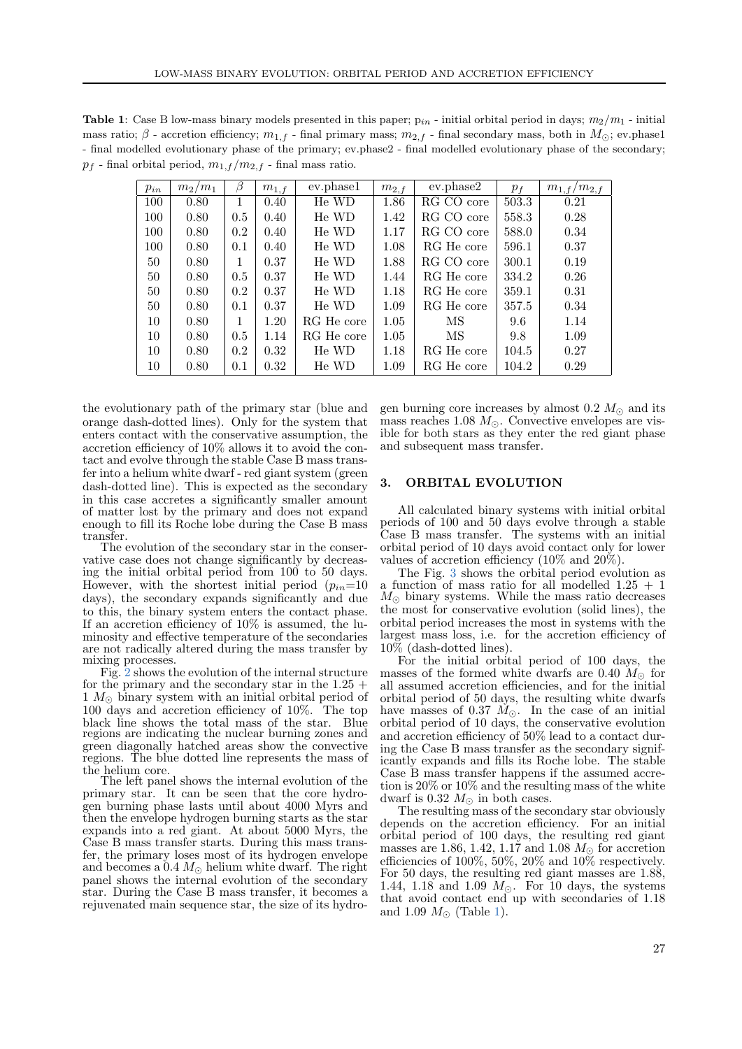<span id="page-2-1"></span>**Table 1:** Case B low-mass binary models presented in this paper;  $p_{in}$  - initial orbital period in days;  $m_2/m_1$  - initial mass ratio;  $\beta$  - accretion efficiency;  $m_{1,f}$  - final primary mass;  $m_{2,f}$  - final secondary mass, both in  $M_{\odot}$ ; ev.phase1 - final modelled evolutionary phase of the primary; ev.phase2 - final modelled evolutionary phase of the secondary;  $p_f$  - final orbital period,  $m_{1,f}/m_{2,f}$  - final mass ratio.

| $p_{in}$ | $m_2/m_1$ |              | $m_{1,f}$ | ev.phase1  | $m_{2,f}$ | ev.phase2  | $p_f$ | $m_{1,f}/m_{2,f}$ |
|----------|-----------|--------------|-----------|------------|-----------|------------|-------|-------------------|
| 100      | 0.80      | 1            | 0.40      | He WD      | 1.86      | RG CO core | 503.3 | 0.21              |
| 100      | 0.80      | 0.5          | 0.40      | He WD      | 1.42      | RG CO core | 558.3 | 0.28              |
| 100      | 0.80      | 0.2          | 0.40      | He WD      | 1.17      | RG CO core | 588.0 | 0.34              |
| 100      | 0.80      | 0.1          | 0.40      | He WD      | 1.08      | RG He core | 596.1 | 0.37              |
| 50       | 0.80      | $\mathbf{1}$ | 0.37      | He WD      | 1.88      | RG CO core | 300.1 | 0.19              |
| 50       | 0.80      | 0.5          | 0.37      | He WD      | 1.44      | RG He core | 334.2 | 0.26              |
| 50       | 0.80      | 0.2          | 0.37      | He WD      | 1.18      | RG He core | 359.1 | 0.31              |
| 50       | 0.80      | 0.1          | 0.37      | He WD      | 1.09      | RG He core | 357.5 | 0.34              |
| 10       | 0.80      | 1            | 1.20      | RG He core | 1.05      | МS         | 9.6   | 1.14              |
| 10       | 0.80      | 0.5          | 1.14      | RG He core | 1.05      | MS         | 9.8   | 1.09              |
| 10       | 0.80      | 0.2          | 0.32      | He WD      | 1.18      | RG He core | 104.5 | 0.27              |
| 10       | 0.80      | 0.1          | 0.32      | He WD      | 1.09      | RG He core | 104.2 | 0.29              |

the evolutionary path of the primary star (blue and orange dash-dotted lines). Only for the system that enters contact with the conservative assumption, the accretion efficiency of 10% allows it to avoid the contact and evolve through the stable Case B mass transfer into a helium white dwarf - red giant system (green dash-dotted line). This is expected as the secondary in this case accretes a significantly smaller amount of matter lost by the primary and does not expand enough to fill its Roche lobe during the Case B mass transfer.

The evolution of the secondary star in the conservative case does not change significantly by decreasing the initial orbital period from 100 to 50 days. However, with the shortest initial period  $(p_{in}=10$ days), the secondary expands significantly and due to this, the binary system enters the contact phase. If an accretion efficiency of 10% is assumed, the luminosity and effective temperature of the secondaries are not radically altered during the mass transfer by mixing processes.

Fig. [2](#page-3-0) shows the evolution of the internal structure for the primary and the secondary star in the  $1.25 +$  $1 M_{\odot}$  binary system with an initial orbital period of 100 days and accretion efficiency of 10%. The top black line shows the total mass of the star. Blue regions are indicating the nuclear burning zones and green diagonally hatched areas show the convective regions. The blue dotted line represents the mass of the helium core.

The left panel shows the internal evolution of the primary star. It can be seen that the core hydrogen burning phase lasts until about 4000 Myrs and then the envelope hydrogen burning starts as the star expands into a red giant. At about 5000 Myrs, the Case B mass transfer starts. During this mass transfer, the primary loses most of its hydrogen envelope and becomes a  $0.4 M_{\odot}$  helium white dwarf. The right panel shows the internal evolution of the secondary star. During the Case B mass transfer, it becomes a rejuvenated main sequence star, the size of its hydrogen burning core increases by almost 0.2  $M_{\odot}$  and its mass reaches 1.08  $M_{\odot}$ . Convective envelopes are visible for both stars as they enter the red giant phase and subsequent mass transfer.

## <span id="page-2-0"></span>3. ORBITAL EVOLUTION

All calculated binary systems with initial orbital periods of 100 and 50 days evolve through a stable Case B mass transfer. The systems with an initial orbital period of 10 days avoid contact only for lower values of accretion efficiency (10% and 20%).

The Fig. [3](#page-3-1) shows the orbital period evolution as a function of mass ratio for all modelled 1.25 + 1  $M_{\odot}$  binary systems. While the mass ratio decreases the most for conservative evolution (solid lines), the orbital period increases the most in systems with the largest mass loss, i.e. for the accretion efficiency of 10% (dash-dotted lines).

For the initial orbital period of 100 days, the masses of the formed white dwarfs are 0.40  $M_{\odot}$  for all assumed accretion efficiencies, and for the initial orbital period of 50 days, the resulting white dwarfs have masses of 0.37  $\dot{M}_{\odot}$ . In the case of an initial orbital period of 10 days, the conservative evolution and accretion efficiency of 50% lead to a contact during the Case B mass transfer as the secondary significantly expands and fills its Roche lobe. The stable Case B mass transfer happens if the assumed accretion is 20% or 10% and the resulting mass of the white dwarf is 0.32  $M_{\odot}$  in both cases.

The resulting mass of the secondary star obviously depends on the accretion efficiency. For an initial orbital period of 100 days, the resulting red giant masses are 1.86, 1.42, 1.17 and 1.08  $M_{\odot}$  for accretion efficiencies of 100%, 50%, 20% and  $10\%$  respectively. For 50 days, the resulting red giant masses are 1.88, 1.44, 1.18 and 1.09  $M_{\odot}$ . For 10 days, the systems that avoid contact end up with secondaries of 1.18 and 1.09  $M_{\odot}$  (Table [1\)](#page-2-1).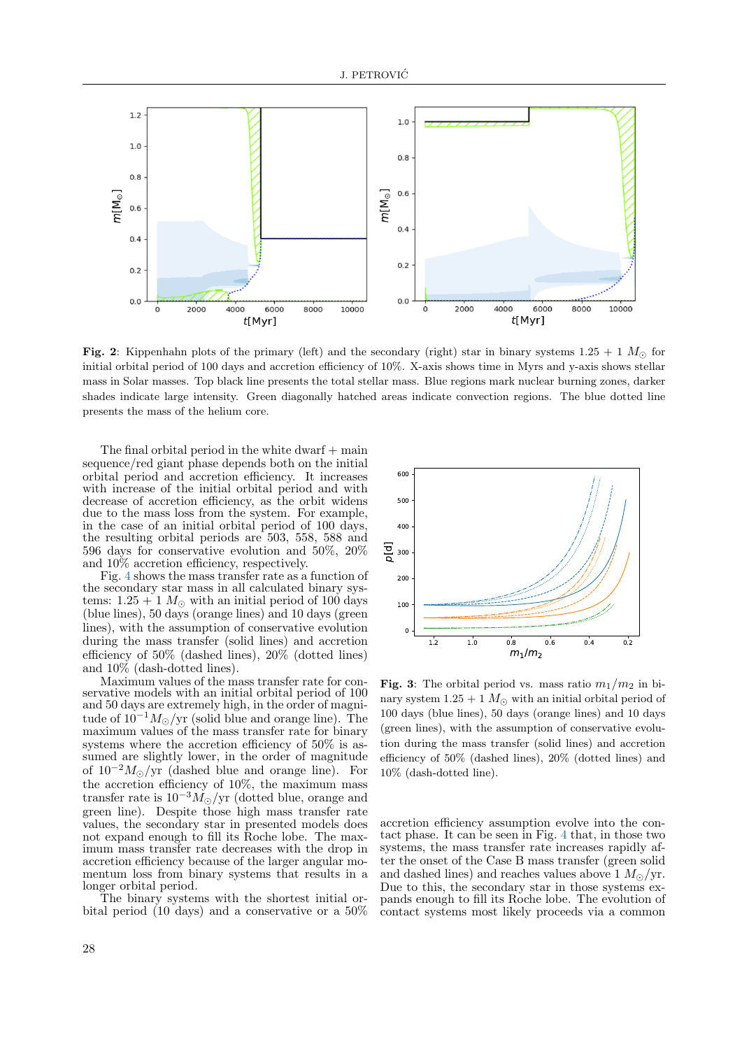

<span id="page-3-0"></span>Fig. 2: Kippenhahn plots of the primary (left) and the secondary (right) star in binary systems  $1.25 + 1$   $M_{\odot}$  for initial orbital period of 100 days and accretion efficiency of 10%. X-axis shows time in Myrs and y-axis shows stellar mass in Solar masses. Top black line presents the total stellar mass. Blue regions mark nuclear burning zones, darker shades indicate large intensity. Green diagonally hatched areas indicate convection regions. The blue dotted line presents the mass of the helium core.

The final orbital period in the white dwarf  $+$  main sequence/red giant phase depends both on the initial orbital period and accretion efficiency. It increases with increase of the initial orbital period and with decrease of accretion efficiency, as the orbit widens due to the mass loss from the system. For example, in the case of an initial orbital period of 100 days, the resulting orbital periods are 503, 558, 588 and 596 days for conservative evolution and 50%, 20% and 10% accretion efficiency, respectively.

Fig. [4](#page-4-4) shows the mass transfer rate as a function of the secondary star mass in all calculated binary systems:  $1.25 + 1$   $M_{\odot}$  with an initial period of 100 days (blue lines), 50 days (orange lines) and 10 days (green lines), with the assumption of conservative evolution during the mass transfer (solid lines) and accretion efficiency of 50% (dashed lines), 20% (dotted lines) and 10% (dash-dotted lines).

Maximum values of the mass transfer rate for conservative models with an initial orbital period of 100 and 50 days are extremely high, in the order of magnitude of  $10^{-1} M_{\odot}/yr$  (solid blue and orange line). The maximum values of the mass transfer rate for binary systems where the accretion efficiency of 50% is assumed are slightly lower, in the order of magnitude of  $10^{-2} M_{\odot}/yr$  (dashed blue and orange line). For the accretion efficiency of 10%, the maximum mass transfer rate is  $10^{-3} \dot{M_{\odot}}/{\rm yr}$  (dotted blue, orange and green line). Despite those high mass transfer rate values, the secondary star in presented models does not expand enough to fill its Roche lobe. The maximum mass transfer rate decreases with the drop in accretion efficiency because of the larger angular momentum loss from binary systems that results in a longer orbital period.

The binary systems with the shortest initial orbital period (10 days) and a conservative or a 50%



<span id="page-3-1"></span>Fig. 3: The orbital period vs. mass ratio  $m_1/m_2$  in binary system  $1.25 + 1$   $M_{\odot}$  with an initial orbital period of 100 days (blue lines), 50 days (orange lines) and 10 days (green lines), with the assumption of conservative evolution during the mass transfer (solid lines) and accretion efficiency of 50% (dashed lines), 20% (dotted lines) and 10% (dash-dotted line).

accretion efficiency assumption evolve into the contact phase. It can be seen in Fig. [4](#page-4-4) that, in those two systems, the mass transfer rate increases rapidly after the onset of the Case B mass transfer (green solid and dashed lines) and reaches values above 1  $M_{\odot}/yr$ . Due to this, the secondary star in those systems expands enough to fill its Roche lobe. The evolution of contact systems most likely proceeds via a common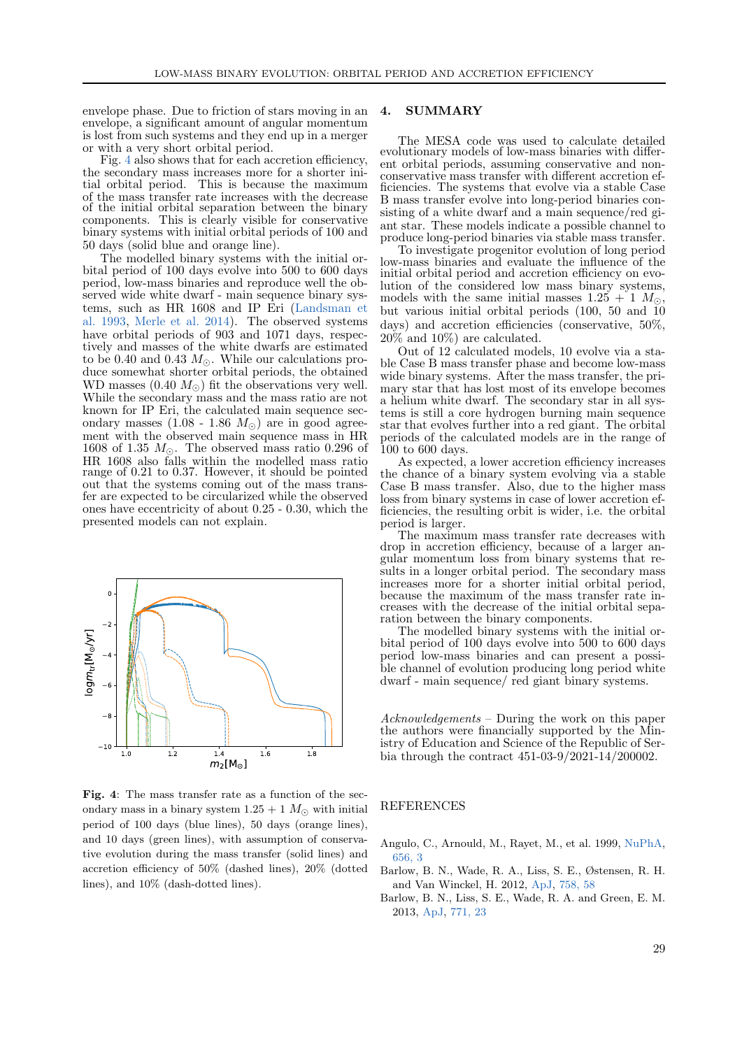envelope phase. Due to friction of stars moving in an envelope, a significant amount of angular momentum is lost from such systems and they end up in a merger or with a very short orbital period.

Fig. [4](#page-4-4) also shows that for each accretion efficiency, the secondary mass increases more for a shorter initial orbital period. This is because the maximum of the mass transfer rate increases with the decrease of the initial orbital separation between the binary components. This is clearly visible for conservative binary systems with initial orbital periods of 100 and 50 days (solid blue and orange line).

The modelled binary systems with the initial orbital period of 100 days evolve into 500 to 600 days period, low-mass binaries and reproduce well the observed wide white dwarf - main sequence binary systems, such as HR 1608 and IP Eri [\(Landsman et](#page-5-8) [al.](#page-5-8) [1993,](#page-5-8) [Merle et al.](#page-5-10) [2014\)](#page-5-10). The observed systems have orbital periods of 903 and 1071 days, respectively and masses of the white dwarfs are estimated to be 0.40 and 0.43  $M_{\odot}$ . While our calculations produce somewhat shorter orbital periods, the obtained WD masses  $(0.40 M_{\odot})$  fit the observations very well. While the secondary mass and the mass ratio are not known for IP Eri, the calculated main sequence secondary masses  $(1.08 - 1.86) M_{\odot}$  are in good agreement with the observed main sequence mass in HR 1608 of 1.35  $M_{\odot}$ . The observed mass ratio 0.296 of HR 1608 also falls within the modelled mass ratio range of 0.21 to 0.37. However, it should be pointed out that the systems coming out of the mass transfer are expected to be circularized while the observed ones have eccentricity of about 0.25 - 0.30, which the presented models can not explain.



<span id="page-4-4"></span>Fig. 4: The mass transfer rate as a function of the secondary mass in a binary system  $1.25 + 1$   $M_{\odot}$  with initial period of 100 days (blue lines), 50 days (orange lines), and 10 days (green lines), with assumption of conservative evolution during the mass transfer (solid lines) and accretion efficiency of 50% (dashed lines), 20% (dotted lines), and 10% (dash-dotted lines).

#### <span id="page-4-2"></span>4. SUMMARY

The MESA code was used to calculate detailed evolutionary models of low-mass binaries with different orbital periods, assuming conservative and nonconservative mass transfer with different accretion efficiencies. The systems that evolve via a stable Case B mass transfer evolve into long-period binaries consisting of a white dwarf and a main sequence/red giant star. These models indicate a possible channel to produce long-period binaries via stable mass transfer.

To investigate progenitor evolution of long period low-mass binaries and evaluate the influence of the initial orbital period and accretion efficiency on evolution of the considered low mass binary systems, models with the same initial masses  $1.25 + 1 M_{\odot}$ , but various initial orbital periods (100, 50 and 10 days) and accretion efficiencies (conservative, 50%, 20% and 10%) are calculated.

Out of 12 calculated models, 10 evolve via a stable Case B mass transfer phase and become low-mass wide binary systems. After the mass transfer, the primary star that has lost most of its envelope becomes a helium white dwarf. The secondary star in all systems is still a core hydrogen burning main sequence star that evolves further into a red giant. The orbital periods of the calculated models are in the range of 100 to 600 days.

As expected, a lower accretion efficiency increases the chance of a binary system evolving via a stable Case B mass transfer. Also, due to the higher mass loss from binary systems in case of lower accretion efficiencies, the resulting orbit is wider, i.e. the orbital period is larger.

The maximum mass transfer rate decreases with drop in accretion efficiency, because of a larger angular momentum loss from binary systems that results in a longer orbital period. The secondary mass increases more for a shorter initial orbital period, because the maximum of the mass transfer rate increases with the decrease of the initial orbital separation between the binary components.

The modelled binary systems with the initial orbital period of 100 days evolve into 500 to 600 days period low-mass binaries and can present a possible channel of evolution producing long period white dwarf - main sequence/ red giant binary systems.

Acknowledgements – During the work on this paper the authors were financially supported by the Ministry of Education and Science of the Republic of Serbia through the contract 451-03-9/2021-14/200002.

#### REFERENCES

- <span id="page-4-3"></span>Angulo, C., Arnould, M., Rayet, M., et al. 1999, [NuPhA,](https://ui.adsabs.harvard.edu/abs/1999NuPhA.656....3A) [656, 3](https://ui.adsabs.harvard.edu/abs/1999NuPhA.656....3A)
- <span id="page-4-0"></span>Barlow, B. N., Wade, R. A., Liss, S. E., Østensen, R. H. and Van Winckel, H. 2012, [ApJ,](https://ui.adsabs.harvard.edu/abs/2012ApJ...758...58B) [758, 58](https://ui.adsabs.harvard.edu/abs/2012ApJ...758...58B)
- <span id="page-4-1"></span>Barlow, B. N., Liss, S. E., Wade, R. A. and Green, E. M. 2013, [ApJ,](https://ui.adsabs.harvard.edu/abs/2013ApJ...771...23B) [771, 23](https://ui.adsabs.harvard.edu/abs/2013ApJ...771...23B)